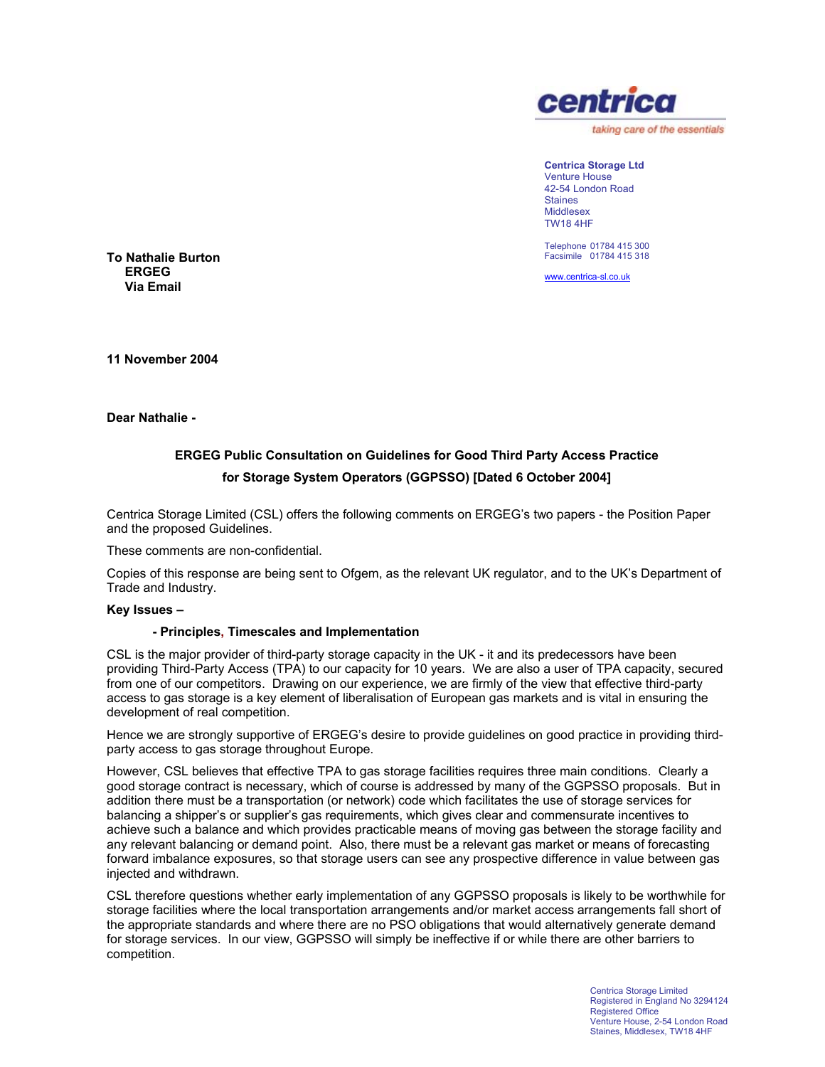

**Centrica Storage Ltd**  Venture House 42-54 London Road Staines Middlesex TW18 4HF

Telephone 01784 415 300 Facsimile 01784 415 318

www.centrica-sl.co.uk

**To Nathalie Burton ERGEG Via Email** 

**11 November 2004** 

**Dear Nathalie -**

# **ERGEG Public Consultation on Guidelines for Good Third Party Access Practice for Storage System Operators (GGPSSO) [Dated 6 October 2004]**

Centrica Storage Limited (CSL) offers the following comments on ERGEG's two papers - the Position Paper and the proposed Guidelines.

These comments are non-confidential.

Copies of this response are being sent to Ofgem, as the relevant UK regulator, and to the UK's Department of Trade and Industry.

#### **Key Issues –**

# **- Principles, Timescales and Implementation**

CSL is the major provider of third-party storage capacity in the UK - it and its predecessors have been providing Third-Party Access (TPA) to our capacity for 10 years. We are also a user of TPA capacity, secured from one of our competitors. Drawing on our experience, we are firmly of the view that effective third-party access to gas storage is a key element of liberalisation of European gas markets and is vital in ensuring the development of real competition.

Hence we are strongly supportive of ERGEG's desire to provide guidelines on good practice in providing thirdparty access to gas storage throughout Europe.

However, CSL believes that effective TPA to gas storage facilities requires three main conditions. Clearly a good storage contract is necessary, which of course is addressed by many of the GGPSSO proposals. But in addition there must be a transportation (or network) code which facilitates the use of storage services for balancing a shipper's or supplier's gas requirements, which gives clear and commensurate incentives to achieve such a balance and which provides practicable means of moving gas between the storage facility and any relevant balancing or demand point. Also, there must be a relevant gas market or means of forecasting forward imbalance exposures, so that storage users can see any prospective difference in value between gas injected and withdrawn.

CSL therefore questions whether early implementation of any GGPSSO proposals is likely to be worthwhile for storage facilities where the local transportation arrangements and/or market access arrangements fall short of the appropriate standards and where there are no PSO obligations that would alternatively generate demand for storage services. In our view, GGPSSO will simply be ineffective if or while there are other barriers to competition.

> Centrica Storage Limited Registered in England No 3294124 Registered Office Venture House, 2-54 London Road Staines, Middlesex, TW18 4HF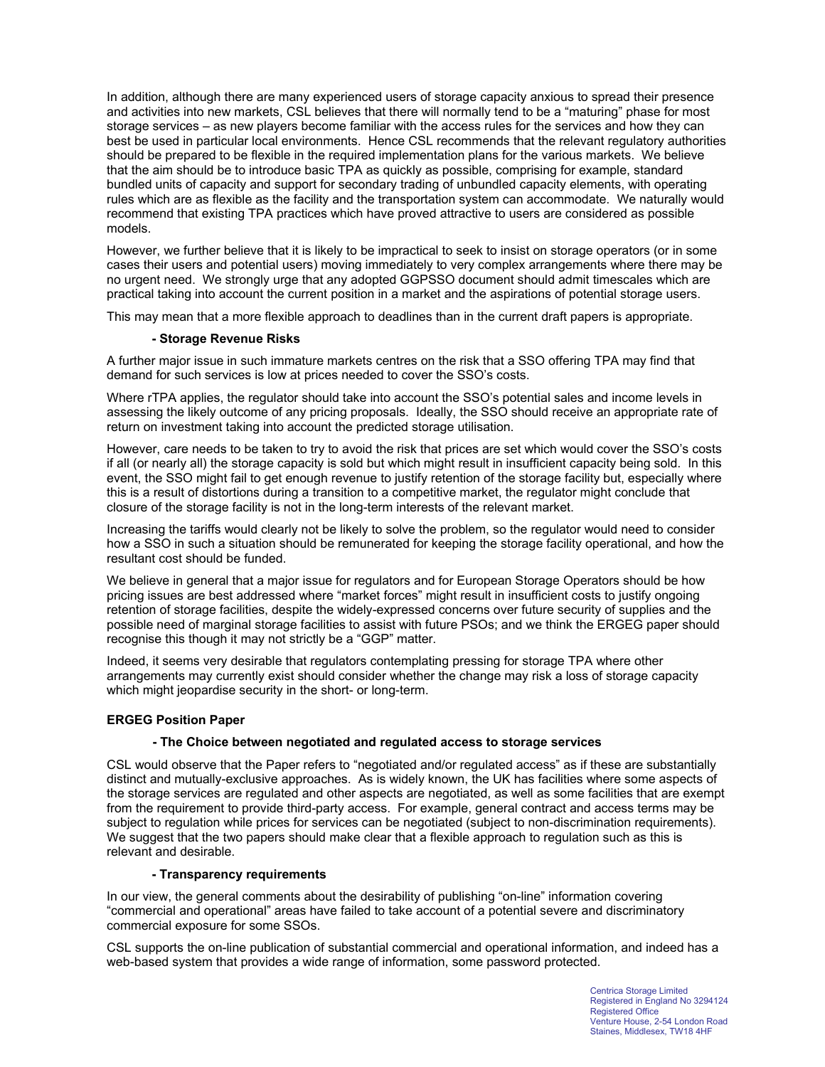In addition, although there are many experienced users of storage capacity anxious to spread their presence and activities into new markets, CSL believes that there will normally tend to be a "maturing" phase for most storage services – as new players become familiar with the access rules for the services and how they can best be used in particular local environments. Hence CSL recommends that the relevant regulatory authorities should be prepared to be flexible in the required implementation plans for the various markets. We believe that the aim should be to introduce basic TPA as quickly as possible, comprising for example, standard bundled units of capacity and support for secondary trading of unbundled capacity elements, with operating rules which are as flexible as the facility and the transportation system can accommodate. We naturally would recommend that existing TPA practices which have proved attractive to users are considered as possible models.

However, we further believe that it is likely to be impractical to seek to insist on storage operators (or in some cases their users and potential users) moving immediately to very complex arrangements where there may be no urgent need. We strongly urge that any adopted GGPSSO document should admit timescales which are practical taking into account the current position in a market and the aspirations of potential storage users.

This may mean that a more flexible approach to deadlines than in the current draft papers is appropriate.

# **- Storage Revenue Risks**

A further major issue in such immature markets centres on the risk that a SSO offering TPA may find that demand for such services is low at prices needed to cover the SSO's costs.

Where rTPA applies, the regulator should take into account the SSO's potential sales and income levels in assessing the likely outcome of any pricing proposals. Ideally, the SSO should receive an appropriate rate of return on investment taking into account the predicted storage utilisation.

However, care needs to be taken to try to avoid the risk that prices are set which would cover the SSO's costs if all (or nearly all) the storage capacity is sold but which might result in insufficient capacity being sold. In this event, the SSO might fail to get enough revenue to justify retention of the storage facility but, especially where this is a result of distortions during a transition to a competitive market, the regulator might conclude that closure of the storage facility is not in the long-term interests of the relevant market.

Increasing the tariffs would clearly not be likely to solve the problem, so the regulator would need to consider how a SSO in such a situation should be remunerated for keeping the storage facility operational, and how the resultant cost should be funded.

We believe in general that a major issue for regulators and for European Storage Operators should be how pricing issues are best addressed where "market forces" might result in insufficient costs to justify ongoing retention of storage facilities, despite the widely-expressed concerns over future security of supplies and the possible need of marginal storage facilities to assist with future PSOs; and we think the ERGEG paper should recognise this though it may not strictly be a "GGP" matter.

Indeed, it seems very desirable that regulators contemplating pressing for storage TPA where other arrangements may currently exist should consider whether the change may risk a loss of storage capacity which might jeopardise security in the short- or long-term.

#### **ERGEG Position Paper**

#### **- The Choice between negotiated and regulated access to storage services**

CSL would observe that the Paper refers to "negotiated and/or regulated access" as if these are substantially distinct and mutually-exclusive approaches. As is widely known, the UK has facilities where some aspects of the storage services are regulated and other aspects are negotiated, as well as some facilities that are exempt from the requirement to provide third-party access. For example, general contract and access terms may be subject to regulation while prices for services can be negotiated (subject to non-discrimination requirements). We suggest that the two papers should make clear that a flexible approach to regulation such as this is relevant and desirable.

#### **- Transparency requirements**

In our view, the general comments about the desirability of publishing "on-line" information covering "commercial and operational" areas have failed to take account of a potential severe and discriminatory commercial exposure for some SSOs.

CSL supports the on-line publication of substantial commercial and operational information, and indeed has a web-based system that provides a wide range of information, some password protected.

> Centrica Storage Limited Registered in England No 3294124 Registered Office Venture House, 2-54 London Road Staines, Middlesex, TW18 4HF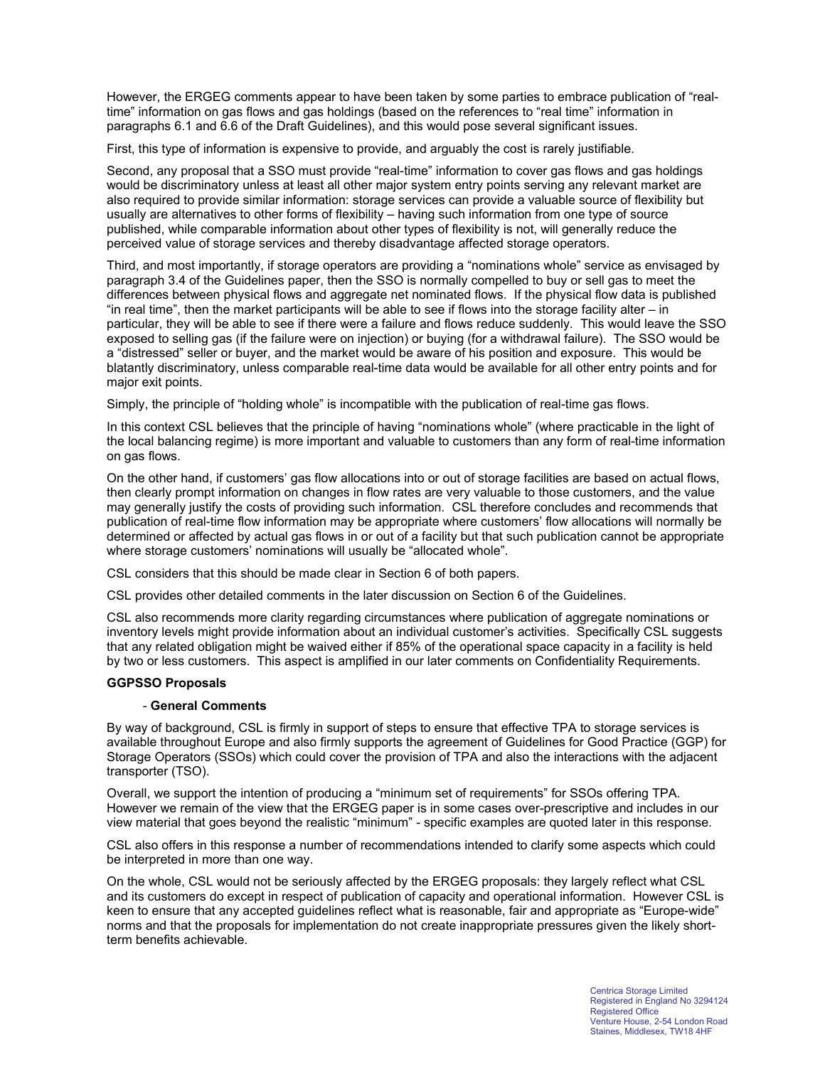However, the ERGEG comments appear to have been taken by some parties to embrace publication of "realtime" information on gas flows and gas holdings (based on the references to "real time" information in paragraphs 6.1 and 6.6 of the Draft Guidelines), and this would pose several significant issues.

First, this type of information is expensive to provide, and arguably the cost is rarely justifiable.

Second, any proposal that a SSO must provide "real-time" information to cover gas flows and gas holdings would be discriminatory unless at least all other major system entry points serving any relevant market are also required to provide similar information: storage services can provide a valuable source of flexibility but usually are alternatives to other forms of flexibility – having such information from one type of source published, while comparable information about other types of flexibility is not, will generally reduce the perceived value of storage services and thereby disadvantage affected storage operators.

Third, and most importantly, if storage operators are providing a "nominations whole" service as envisaged by paragraph 3.4 of the Guidelines paper, then the SSO is normally compelled to buy or sell gas to meet the differences between physical flows and aggregate net nominated flows. If the physical flow data is published "in real time", then the market participants will be able to see if flows into the storage facility alter – in particular, they will be able to see if there were a failure and flows reduce suddenly. This would leave the SSO exposed to selling gas (if the failure were on injection) or buying (for a withdrawal failure). The SSO would be a "distressed" seller or buyer, and the market would be aware of his position and exposure. This would be blatantly discriminatory, unless comparable real-time data would be available for all other entry points and for major exit points.

Simply, the principle of "holding whole" is incompatible with the publication of real-time gas flows.

In this context CSL believes that the principle of having "nominations whole" (where practicable in the light of the local balancing regime) is more important and valuable to customers than any form of real-time information on gas flows.

On the other hand, if customers' gas flow allocations into or out of storage facilities are based on actual flows, then clearly prompt information on changes in flow rates are very valuable to those customers, and the value may generally justify the costs of providing such information. CSL therefore concludes and recommends that publication of real-time flow information may be appropriate where customers' flow allocations will normally be determined or affected by actual gas flows in or out of a facility but that such publication cannot be appropriate where storage customers' nominations will usually be "allocated whole".

CSL considers that this should be made clear in Section 6 of both papers.

CSL provides other detailed comments in the later discussion on Section 6 of the Guidelines.

CSL also recommends more clarity regarding circumstances where publication of aggregate nominations or inventory levels might provide information about an individual customer's activities. Specifically CSL suggests that any related obligation might be waived either if 85% of the operational space capacity in a facility is held by two or less customers. This aspect is amplified in our later comments on Confidentiality Requirements.

#### **GGPSSO Proposals**

#### - **General Comments**

By way of background, CSL is firmly in support of steps to ensure that effective TPA to storage services is available throughout Europe and also firmly supports the agreement of Guidelines for Good Practice (GGP) for Storage Operators (SSOs) which could cover the provision of TPA and also the interactions with the adjacent transporter (TSO).

Overall, we support the intention of producing a "minimum set of requirements" for SSOs offering TPA. However we remain of the view that the ERGEG paper is in some cases over-prescriptive and includes in our view material that goes beyond the realistic "minimum" - specific examples are quoted later in this response.

CSL also offers in this response a number of recommendations intended to clarify some aspects which could be interpreted in more than one way.

On the whole, CSL would not be seriously affected by the ERGEG proposals: they largely reflect what CSL and its customers do except in respect of publication of capacity and operational information. However CSL is keen to ensure that any accepted guidelines reflect what is reasonable, fair and appropriate as "Europe-wide" norms and that the proposals for implementation do not create inappropriate pressures given the likely shortterm benefits achievable.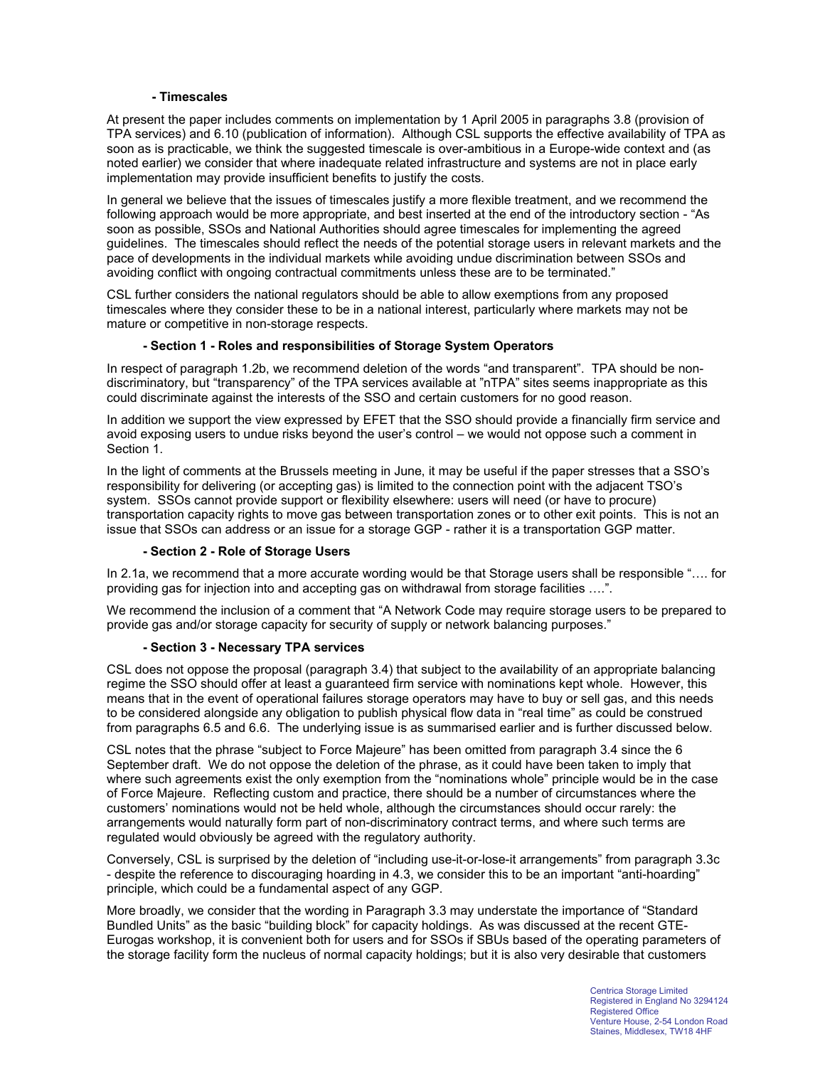### **- Timescales**

At present the paper includes comments on implementation by 1 April 2005 in paragraphs 3.8 (provision of TPA services) and 6.10 (publication of information). Although CSL supports the effective availability of TPA as soon as is practicable, we think the suggested timescale is over-ambitious in a Europe-wide context and (as noted earlier) we consider that where inadequate related infrastructure and systems are not in place early implementation may provide insufficient benefits to justify the costs.

In general we believe that the issues of timescales justify a more flexible treatment, and we recommend the following approach would be more appropriate, and best inserted at the end of the introductory section - "As soon as possible, SSOs and National Authorities should agree timescales for implementing the agreed guidelines. The timescales should reflect the needs of the potential storage users in relevant markets and the pace of developments in the individual markets while avoiding undue discrimination between SSOs and avoiding conflict with ongoing contractual commitments unless these are to be terminated."

CSL further considers the national regulators should be able to allow exemptions from any proposed timescales where they consider these to be in a national interest, particularly where markets may not be mature or competitive in non-storage respects.

# **- Section 1 - Roles and responsibilities of Storage System Operators**

In respect of paragraph 1.2b, we recommend deletion of the words "and transparent". TPA should be nondiscriminatory, but "transparency" of the TPA services available at "nTPA" sites seems inappropriate as this could discriminate against the interests of the SSO and certain customers for no good reason.

In addition we support the view expressed by EFET that the SSO should provide a financially firm service and avoid exposing users to undue risks beyond the user's control – we would not oppose such a comment in Section 1.

In the light of comments at the Brussels meeting in June, it may be useful if the paper stresses that a SSO's responsibility for delivering (or accepting gas) is limited to the connection point with the adjacent TSO's system. SSOs cannot provide support or flexibility elsewhere: users will need (or have to procure) transportation capacity rights to move gas between transportation zones or to other exit points. This is not an issue that SSOs can address or an issue for a storage GGP - rather it is a transportation GGP matter.

#### **- Section 2 - Role of Storage Users**

In 2.1a, we recommend that a more accurate wording would be that Storage users shall be responsible "…. for providing gas for injection into and accepting gas on withdrawal from storage facilities ....".

We recommend the inclusion of a comment that "A Network Code may require storage users to be prepared to provide gas and/or storage capacity for security of supply or network balancing purposes."

#### **- Section 3 - Necessary TPA services**

CSL does not oppose the proposal (paragraph 3.4) that subject to the availability of an appropriate balancing regime the SSO should offer at least a guaranteed firm service with nominations kept whole. However, this means that in the event of operational failures storage operators may have to buy or sell gas, and this needs to be considered alongside any obligation to publish physical flow data in "real time" as could be construed from paragraphs 6.5 and 6.6. The underlying issue is as summarised earlier and is further discussed below.

CSL notes that the phrase "subject to Force Majeure" has been omitted from paragraph 3.4 since the 6 September draft. We do not oppose the deletion of the phrase, as it could have been taken to imply that where such agreements exist the only exemption from the "nominations whole" principle would be in the case of Force Majeure. Reflecting custom and practice, there should be a number of circumstances where the customers' nominations would not be held whole, although the circumstances should occur rarely: the arrangements would naturally form part of non-discriminatory contract terms, and where such terms are regulated would obviously be agreed with the regulatory authority.

Conversely, CSL is surprised by the deletion of "including use-it-or-lose-it arrangements" from paragraph 3.3c - despite the reference to discouraging hoarding in 4.3, we consider this to be an important "anti-hoarding" principle, which could be a fundamental aspect of any GGP.

More broadly, we consider that the wording in Paragraph 3.3 may understate the importance of "Standard Bundled Units" as the basic "building block" for capacity holdings. As was discussed at the recent GTE-Eurogas workshop, it is convenient both for users and for SSOs if SBUs based of the operating parameters of the storage facility form the nucleus of normal capacity holdings; but it is also very desirable that customers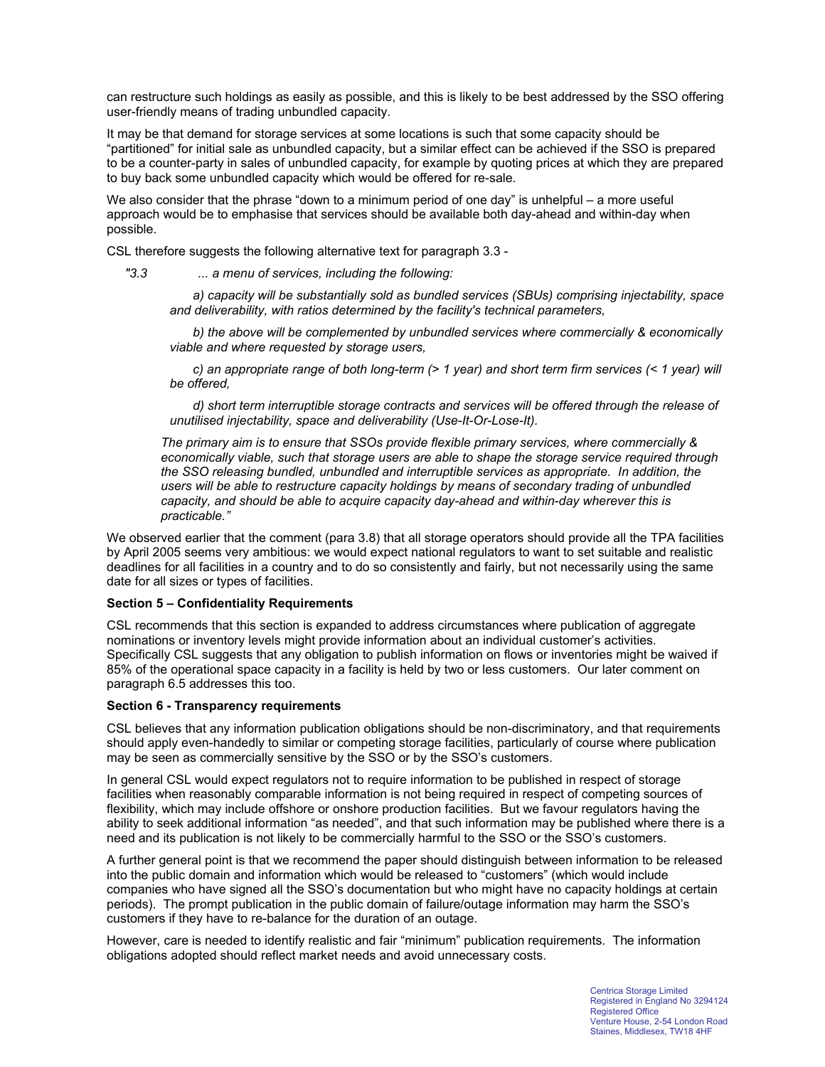can restructure such holdings as easily as possible, and this is likely to be best addressed by the SSO offering user-friendly means of trading unbundled capacity.

It may be that demand for storage services at some locations is such that some capacity should be "partitioned" for initial sale as unbundled capacity, but a similar effect can be achieved if the SSO is prepared to be a counter-party in sales of unbundled capacity, for example by quoting prices at which they are prepared to buy back some unbundled capacity which would be offered for re-sale.

We also consider that the phrase "down to a minimum period of one day" is unhelpful – a more useful approach would be to emphasise that services should be available both day-ahead and within-day when possible.

CSL therefore suggests the following alternative text for paragraph 3.3 -

*"3.3 ... a menu of services, including the following:*

 *a) capacity will be substantially sold as bundled services (SBUs) comprising injectability, space and deliverability, with ratios determined by the facility's technical parameters,*

 *b) the above will be complemented by unbundled services where commercially & economically viable and where requested by storage users,*

 *c) an appropriate range of both long-term (> 1 year) and short term firm services (< 1 year) will be offered,*

 *d) short term interruptible storage contracts and services will be offered through the release of unutilised injectability, space and deliverability (Use-It-Or-Lose-It).*

*The primary aim is to ensure that SSOs provide flexible primary services, where commercially & economically viable, such that storage users are able to shape the storage service required through the SSO releasing bundled, unbundled and interruptible services as appropriate. In addition, the users will be able to restructure capacity holdings by means of secondary trading of unbundled capacity, and should be able to acquire capacity day-ahead and within-day wherever this is practicable."*

We observed earlier that the comment (para 3.8) that all storage operators should provide all the TPA facilities by April 2005 seems very ambitious: we would expect national regulators to want to set suitable and realistic deadlines for all facilities in a country and to do so consistently and fairly, but not necessarily using the same date for all sizes or types of facilities.

#### **Section 5 – Confidentiality Requirements**

CSL recommends that this section is expanded to address circumstances where publication of aggregate nominations or inventory levels might provide information about an individual customer's activities. Specifically CSL suggests that any obligation to publish information on flows or inventories might be waived if 85% of the operational space capacity in a facility is held by two or less customers. Our later comment on paragraph 6.5 addresses this too.

#### **Section 6 - Transparency requirements**

CSL believes that any information publication obligations should be non-discriminatory, and that requirements should apply even-handedly to similar or competing storage facilities, particularly of course where publication may be seen as commercially sensitive by the SSO or by the SSO's customers.

In general CSL would expect regulators not to require information to be published in respect of storage facilities when reasonably comparable information is not being required in respect of competing sources of flexibility, which may include offshore or onshore production facilities. But we favour regulators having the ability to seek additional information "as needed", and that such information may be published where there is a need and its publication is not likely to be commercially harmful to the SSO or the SSO's customers.

A further general point is that we recommend the paper should distinguish between information to be released into the public domain and information which would be released to "customers" (which would include companies who have signed all the SSO's documentation but who might have no capacity holdings at certain periods). The prompt publication in the public domain of failure/outage information may harm the SSO's customers if they have to re-balance for the duration of an outage.

However, care is needed to identify realistic and fair "minimum" publication requirements. The information obligations adopted should reflect market needs and avoid unnecessary costs.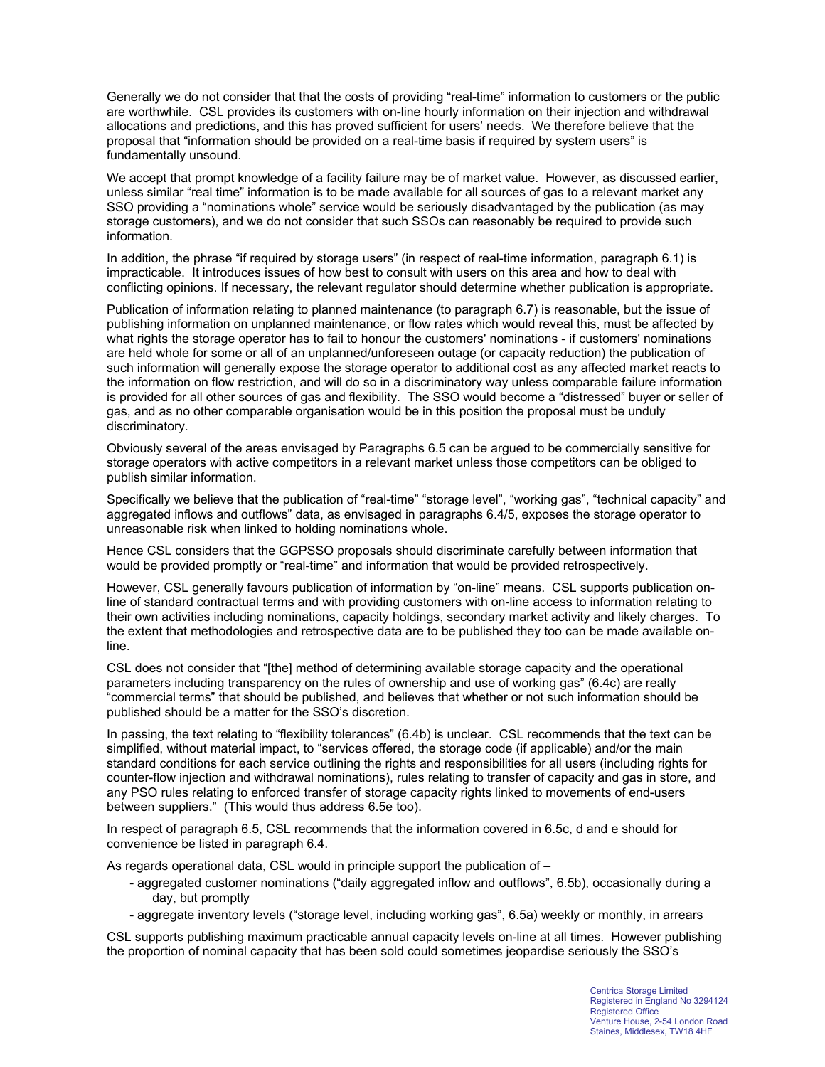Generally we do not consider that that the costs of providing "real-time" information to customers or the public are worthwhile. CSL provides its customers with on-line hourly information on their injection and withdrawal allocations and predictions, and this has proved sufficient for users' needs. We therefore believe that the proposal that "information should be provided on a real-time basis if required by system users" is fundamentally unsound.

We accept that prompt knowledge of a facility failure may be of market value. However, as discussed earlier, unless similar "real time" information is to be made available for all sources of gas to a relevant market any SSO providing a "nominations whole" service would be seriously disadvantaged by the publication (as may storage customers), and we do not consider that such SSOs can reasonably be required to provide such information.

In addition, the phrase "if required by storage users" (in respect of real-time information, paragraph 6.1) is impracticable. It introduces issues of how best to consult with users on this area and how to deal with conflicting opinions. If necessary, the relevant regulator should determine whether publication is appropriate.

Publication of information relating to planned maintenance (to paragraph 6.7) is reasonable, but the issue of publishing information on unplanned maintenance, or flow rates which would reveal this, must be affected by what rights the storage operator has to fail to honour the customers' nominations - if customers' nominations are held whole for some or all of an unplanned/unforeseen outage (or capacity reduction) the publication of such information will generally expose the storage operator to additional cost as any affected market reacts to the information on flow restriction, and will do so in a discriminatory way unless comparable failure information is provided for all other sources of gas and flexibility. The SSO would become a "distressed" buyer or seller of gas, and as no other comparable organisation would be in this position the proposal must be unduly discriminatory.

Obviously several of the areas envisaged by Paragraphs 6.5 can be argued to be commercially sensitive for storage operators with active competitors in a relevant market unless those competitors can be obliged to publish similar information.

Specifically we believe that the publication of "real-time" "storage level", "working gas", "technical capacity" and aggregated inflows and outflows" data, as envisaged in paragraphs 6.4/5, exposes the storage operator to unreasonable risk when linked to holding nominations whole.

Hence CSL considers that the GGPSSO proposals should discriminate carefully between information that would be provided promptly or "real-time" and information that would be provided retrospectively.

However, CSL generally favours publication of information by "on-line" means. CSL supports publication online of standard contractual terms and with providing customers with on-line access to information relating to their own activities including nominations, capacity holdings, secondary market activity and likely charges. To the extent that methodologies and retrospective data are to be published they too can be made available online.

CSL does not consider that "[the] method of determining available storage capacity and the operational parameters including transparency on the rules of ownership and use of working gas" (6.4c) are really "commercial terms" that should be published, and believes that whether or not such information should be published should be a matter for the SSO's discretion.

In passing, the text relating to "flexibility tolerances" (6.4b) is unclear. CSL recommends that the text can be simplified, without material impact, to "services offered, the storage code (if applicable) and/or the main standard conditions for each service outlining the rights and responsibilities for all users (including rights for counter-flow injection and withdrawal nominations), rules relating to transfer of capacity and gas in store, and any PSO rules relating to enforced transfer of storage capacity rights linked to movements of end-users between suppliers." (This would thus address 6.5e too).

In respect of paragraph 6.5, CSL recommends that the information covered in 6.5c, d and e should for convenience be listed in paragraph 6.4.

As regards operational data, CSL would in principle support the publication of –

- aggregated customer nominations ("daily aggregated inflow and outflows", 6.5b), occasionally during a day, but promptly
- aggregate inventory levels ("storage level, including working gas", 6.5a) weekly or monthly, in arrears

CSL supports publishing maximum practicable annual capacity levels on-line at all times. However publishing the proportion of nominal capacity that has been sold could sometimes jeopardise seriously the SSO's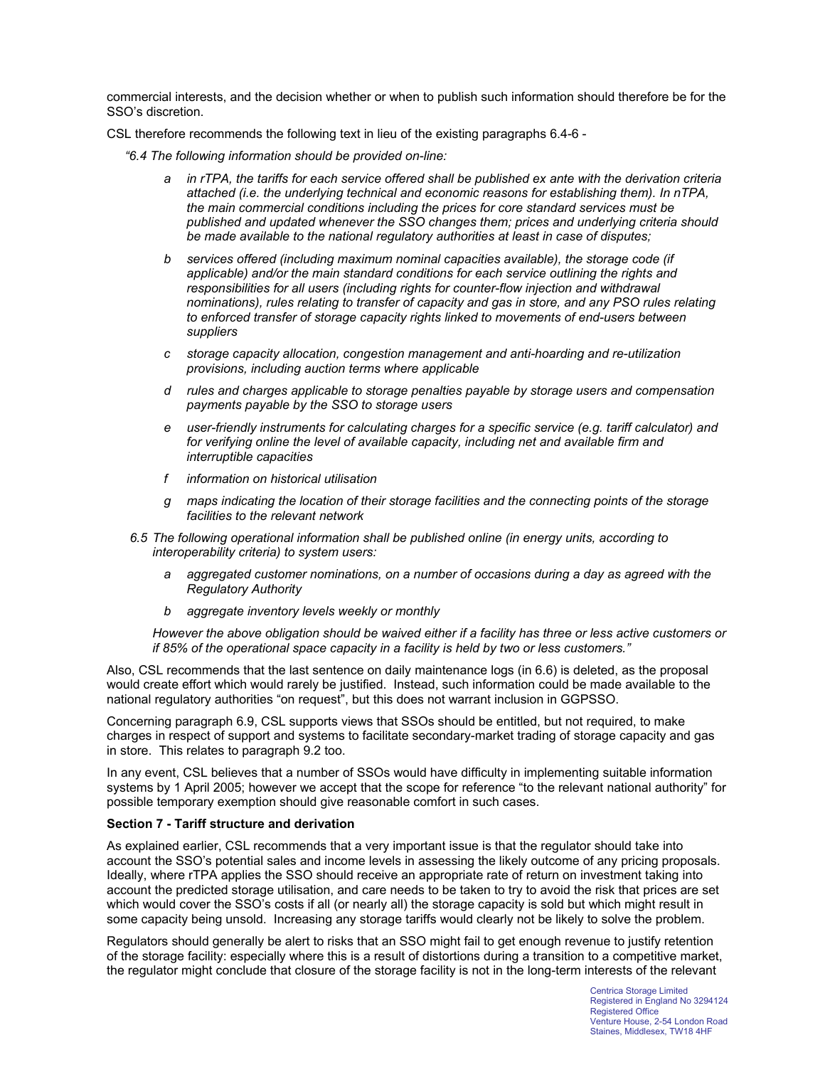commercial interests, and the decision whether or when to publish such information should therefore be for the SSO's discretion.

CSL therefore recommends the following text in lieu of the existing paragraphs 6.4-6 -

*"6.4 The following information should be provided on-line:* 

- *a in rTPA, the tariffs for each service offered shall be published ex ante with the derivation criteria attached (i.e. the underlying technical and economic reasons for establishing them). In nTPA, the main commercial conditions including the prices for core standard services must be published and updated whenever the SSO changes them; prices and underlying criteria should be made available to the national regulatory authorities at least in case of disputes;*
- *b services offered (including maximum nominal capacities available), the storage code (if applicable) and/or the main standard conditions for each service outlining the rights and*  responsibilities for all users (including rights for counter-flow injection and withdrawal *nominations), rules relating to transfer of capacity and gas in store, and any PSO rules relating to enforced transfer of storage capacity rights linked to movements of end-users between suppliers*
- *c storage capacity allocation, congestion management and anti-hoarding and re-utilization provisions, including auction terms where applicable*
- *d rules and charges applicable to storage penalties payable by storage users and compensation payments payable by the SSO to storage users*
- *e user-friendly instruments for calculating charges for a specific service (e.g. tariff calculator) and for verifying online the level of available capacity, including net and available firm and interruptible capacities*
- *f information on historical utilisation*
- *g maps indicating the location of their storage facilities and the connecting points of the storage facilities to the relevant network*
- *6.5 The following operational information shall be published online (in energy units, according to interoperability criteria) to system users:* 
	- *a aggregated customer nominations, on a number of occasions during a day as agreed with the Regulatory Authority*
	- *b aggregate inventory levels weekly or monthly*

*However the above obligation should be waived either if a facility has three or less active customers or if 85% of the operational space capacity in a facility is held by two or less customers."* 

Also, CSL recommends that the last sentence on daily maintenance logs (in 6.6) is deleted, as the proposal would create effort which would rarely be justified. Instead, such information could be made available to the national regulatory authorities "on request", but this does not warrant inclusion in GGPSSO.

Concerning paragraph 6.9, CSL supports views that SSOs should be entitled, but not required, to make charges in respect of support and systems to facilitate secondary-market trading of storage capacity and gas in store. This relates to paragraph 9.2 too.

In any event, CSL believes that a number of SSOs would have difficulty in implementing suitable information systems by 1 April 2005; however we accept that the scope for reference "to the relevant national authority" for possible temporary exemption should give reasonable comfort in such cases.

#### **Section 7 - Tariff structure and derivation**

As explained earlier, CSL recommends that a very important issue is that the regulator should take into account the SSO's potential sales and income levels in assessing the likely outcome of any pricing proposals. Ideally, where rTPA applies the SSO should receive an appropriate rate of return on investment taking into account the predicted storage utilisation, and care needs to be taken to try to avoid the risk that prices are set which would cover the SSO's costs if all (or nearly all) the storage capacity is sold but which might result in some capacity being unsold. Increasing any storage tariffs would clearly not be likely to solve the problem.

Regulators should generally be alert to risks that an SSO might fail to get enough revenue to justify retention of the storage facility: especially where this is a result of distortions during a transition to a competitive market, the regulator might conclude that closure of the storage facility is not in the long-term interests of the relevant

> Centrica Storage Limited Registered in England No 3294124 Registered Office Venture House, 2-54 London Road Staines, Middlesex, TW18 4HF